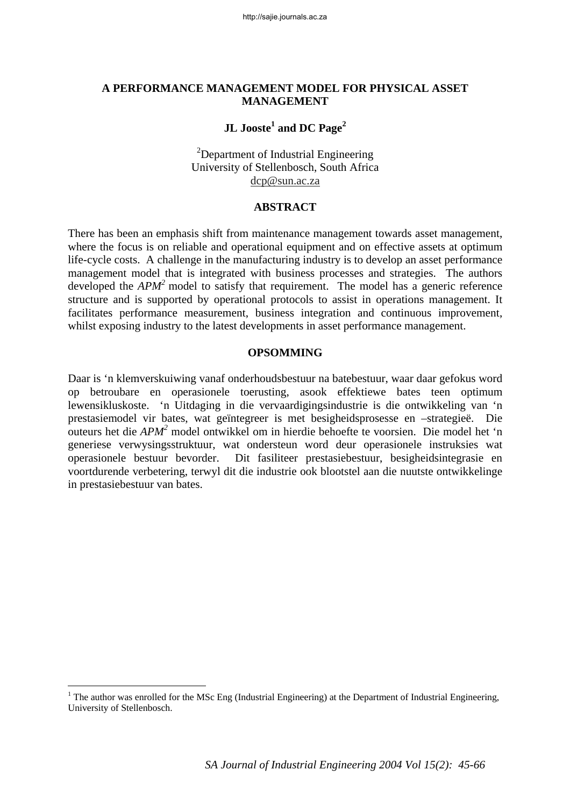#### **A PERFORMANCE MANAGEMENT MODEL FOR PHYSICAL ASSET MANAGEMENT**

## $\bf JL~ Jooste^1$  and  $\bf DC~ Page^2$

 $2$ Department of Industrial Engineering University of Stellenbosch, South Africa dcp@sun.ac.za

#### **ABSTRACT**

There has been an emphasis shift from maintenance management towards asset management, where the focus is on reliable and operational equipment and on effective assets at optimum life-cycle costs. A challenge in the manufacturing industry is to develop an asset performance management model that is integrated with business processes and strategies. The authors developed the *APM*<sup>2</sup> model to satisfy that requirement. The model has a generic reference structure and is supported by operational protocols to assist in operations management. It facilitates performance measurement, business integration and continuous improvement, whilst exposing industry to the latest developments in asset performance management.

#### **OPSOMMING**

Daar is 'n klemverskuiwing vanaf onderhoudsbestuur na batebestuur, waar daar gefokus word op betroubare en operasionele toerusting, asook effektiewe bates teen optimum lewensikluskoste. 'n Uitdaging in die vervaardigingsindustrie is die ontwikkeling van 'n prestasiemodel vir bates, wat geïntegreer is met besigheidsprosesse en –strategieë. Die outeurs het die *APM<sup>2</sup>* model ontwikkel om in hierdie behoefte te voorsien. Die model het 'n generiese verwysingsstruktuur, wat ondersteun word deur operasionele instruksies wat operasionele bestuur bevorder. Dit fasiliteer prestasiebestuur, besigheidsintegrasie en voortdurende verbetering, terwyl dit die industrie ook blootstel aan die nuutste ontwikkelinge in prestasiebestuur van bates.

 $\overline{a}$ 

<sup>&</sup>lt;sup>1</sup> The author was enrolled for the MSc Eng (Industrial Engineering) at the Department of Industrial Engineering, University of Stellenbosch.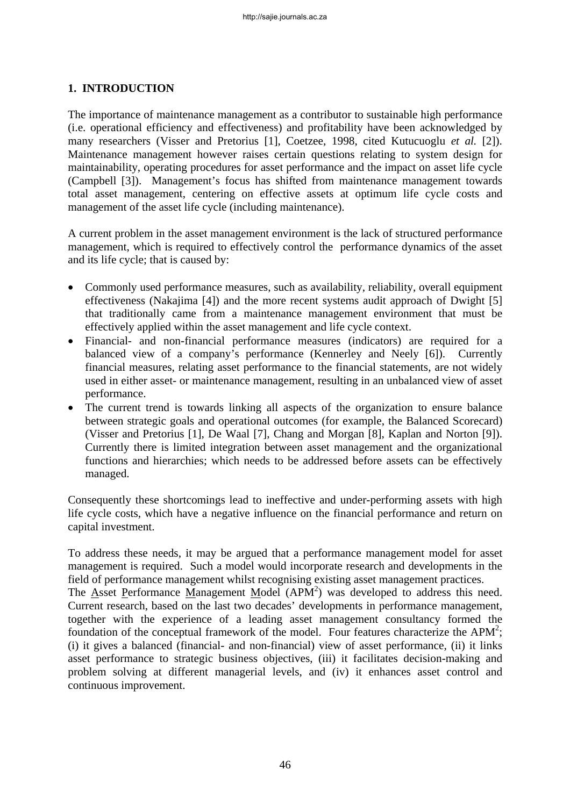## **1. INTRODUCTION**

The importance of maintenance management as a contributor to sustainable high performance (i.e. operational efficiency and effectiveness) and profitability have been acknowledged by many researchers (Visser and Pretorius [1], Coetzee, 1998, cited Kutucuoglu *et al.* [2]). Maintenance management however raises certain questions relating to system design for maintainability, operating procedures for asset performance and the impact on asset life cycle (Campbell [3]). Management's focus has shifted from maintenance management towards total asset management, centering on effective assets at optimum life cycle costs and management of the asset life cycle (including maintenance).

A current problem in the asset management environment is the lack of structured performance management, which is required to effectively control the performance dynamics of the asset and its life cycle; that is caused by:

- Commonly used performance measures, such as availability, reliability, overall equipment effectiveness (Nakajima [4]) and the more recent systems audit approach of Dwight [5] that traditionally came from a maintenance management environment that must be effectively applied within the asset management and life cycle context.
- Financial- and non-financial performance measures (indicators) are required for a balanced view of a company's performance (Kennerley and Neely [6]). Currently financial measures, relating asset performance to the financial statements, are not widely used in either asset- or maintenance management, resulting in an unbalanced view of asset performance.
- The current trend is towards linking all aspects of the organization to ensure balance between strategic goals and operational outcomes (for example, the Balanced Scorecard) (Visser and Pretorius [1], De Waal [7], Chang and Morgan [8], Kaplan and Norton [9]). Currently there is limited integration between asset management and the organizational functions and hierarchies; which needs to be addressed before assets can be effectively managed.

Consequently these shortcomings lead to ineffective and under-performing assets with high life cycle costs, which have a negative influence on the financial performance and return on capital investment.

To address these needs, it may be argued that a performance management model for asset management is required. Such a model would incorporate research and developments in the field of performance management whilst recognising existing asset management practices.

The  $\overline{A}$ sset Performance Management Model (APM<sup>2</sup>) was developed to address this need. Current research, based on the last two decades' developments in performance management, together with the experience of a leading asset management consultancy formed the foundation of the conceptual framework of the model. Four features characterize the  $APM^2$ ; (i) it gives a balanced (financial- and non-financial) view of asset performance, (ii) it links asset performance to strategic business objectives, (iii) it facilitates decision-making and problem solving at different managerial levels, and (iv) it enhances asset control and continuous improvement.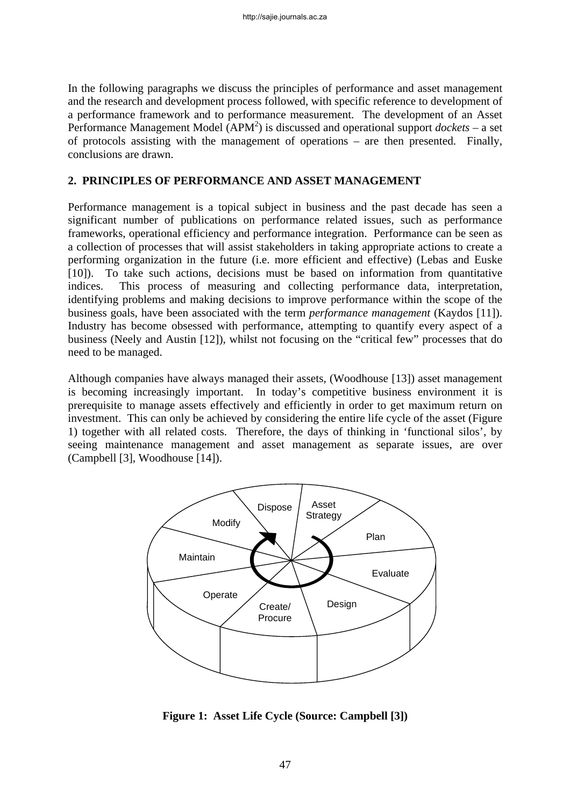In the following paragraphs we discuss the principles of performance and asset management and the research and development process followed, with specific reference to development of a performance framework and to performance measurement. The development of an Asset Performance Management Model (APM<sup>2</sup>) is discussed and operational support *dockets* – a set of protocols assisting with the management of operations – are then presented. Finally, conclusions are drawn.

### **2. PRINCIPLES OF PERFORMANCE AND ASSET MANAGEMENT**

Performance management is a topical subject in business and the past decade has seen a significant number of publications on performance related issues, such as performance frameworks, operational efficiency and performance integration. Performance can be seen as a collection of processes that will assist stakeholders in taking appropriate actions to create a performing organization in the future (i.e. more efficient and effective) (Lebas and Euske [10]). To take such actions, decisions must be based on information from quantitative indices. This process of measuring and collecting performance data, interpretation, identifying problems and making decisions to improve performance within the scope of the business goals, have been associated with the term *performance management* (Kaydos [11]). Industry has become obsessed with performance, attempting to quantify every aspect of a business (Neely and Austin [12]), whilst not focusing on the "critical few" processes that do need to be managed.

Although companies have always managed their assets, (Woodhouse [13]) asset management is becoming increasingly important. In today's competitive business environment it is prerequisite to manage assets effectively and efficiently in order to get maximum return on investment. This can only be achieved by considering the entire life cycle of the asset (Figure 1) together with all related costs. Therefore, the days of thinking in 'functional silos', by seeing maintenance management and asset management as separate issues, are over (Campbell [3], Woodhouse [14]).



**Figure 1: Asset Life Cycle (Source: Campbell [3])**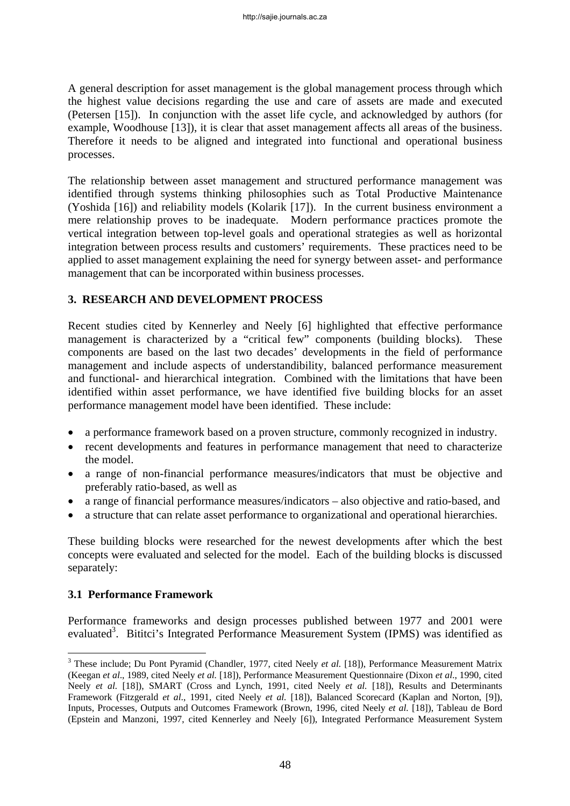A general description for asset management is the global management process through which the highest value decisions regarding the use and care of assets are made and executed (Petersen [15]). In conjunction with the asset life cycle, and acknowledged by authors (for example, Woodhouse [13]), it is clear that asset management affects all areas of the business. Therefore it needs to be aligned and integrated into functional and operational business processes.

The relationship between asset management and structured performance management was identified through systems thinking philosophies such as Total Productive Maintenance (Yoshida [16]) and reliability models (Kolarik [17]). In the current business environment a mere relationship proves to be inadequate. Modern performance practices promote the vertical integration between top-level goals and operational strategies as well as horizontal integration between process results and customers' requirements. These practices need to be applied to asset management explaining the need for synergy between asset- and performance management that can be incorporated within business processes.

### **3. RESEARCH AND DEVELOPMENT PROCESS**

Recent studies cited by Kennerley and Neely [6] highlighted that effective performance management is characterized by a "critical few" components (building blocks). These components are based on the last two decades' developments in the field of performance management and include aspects of understandibility, balanced performance measurement and functional- and hierarchical integration. Combined with the limitations that have been identified within asset performance, we have identified five building blocks for an asset performance management model have been identified. These include:

- a performance framework based on a proven structure, commonly recognized in industry.
- recent developments and features in performance management that need to characterize the model.
- a range of non-financial performance measures/indicators that must be objective and preferably ratio-based, as well as
- a range of financial performance measures/indicators also objective and ratio-based, and
- a structure that can relate asset performance to organizational and operational hierarchies.

These building blocks were researched for the newest developments after which the best concepts were evaluated and selected for the model. Each of the building blocks is discussed separately:

### **3.1 Performance Framework**

 $\overline{a}$ 

Performance frameworks and design processes published between 1977 and 2001 were evaluated<sup>3</sup>. Bititci's Integrated Performance Measurement System (IPMS) was identified as

<sup>&</sup>lt;sup>3</sup> These include; Du Pont Pyramid (Chandler, 1977, cited Neely *et al.* [18]), Performance Measurement Matrix (Keegan *et al*., 1989, cited Neely *et al.* [18]), Performance Measurement Questionnaire (Dixon *et al*., 1990, cited Neely *et al.* [18]), SMART (Cross and Lynch, 1991, cited Neely *et al.* [18]), Results and Determinants Framework (Fitzgerald *et al*., 1991, cited Neely *et al.* [18]), Balanced Scorecard (Kaplan and Norton, [9]), Inputs, Processes, Outputs and Outcomes Framework (Brown, 1996, cited Neely *et al.* [18]), Tableau de Bord (Epstein and Manzoni, 1997, cited Kennerley and Neely [6]), Integrated Performance Measurement System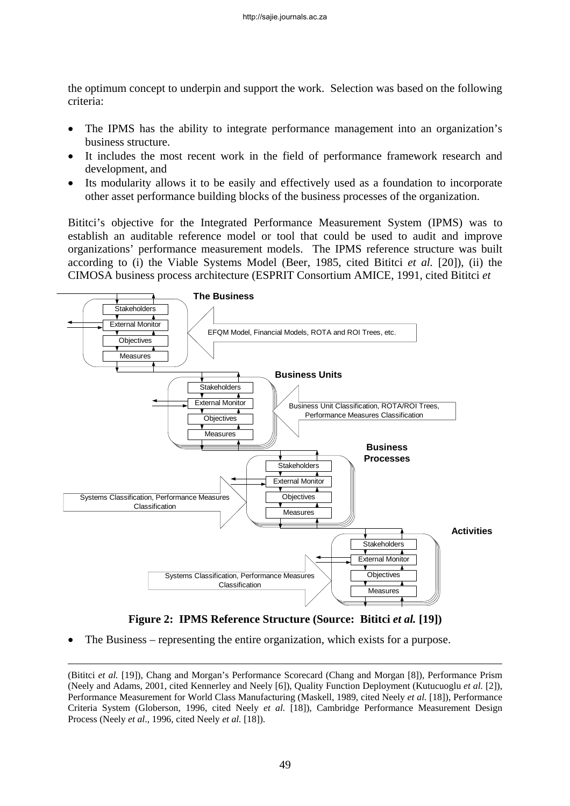the optimum concept to underpin and support the work. Selection was based on the following criteria:

- The IPMS has the ability to integrate performance management into an organization's business structure.
- It includes the most recent work in the field of performance framework research and development, and
- Its modularity allows it to be easily and effectively used as a foundation to incorporate other asset performance building blocks of the business processes of the organization.

Bititci's objective for the Integrated Performance Measurement System (IPMS) was to establish an auditable reference model or tool that could be used to audit and improve organizations' performance measurement models. The IPMS reference structure was built according to (i) the Viable Systems Model (Beer, 1985, cited Bititci *et al.* [20]), (ii) the CIMOSA business process architecture (ESPRIT Consortium AMICE, 1991, cited Bititci *et* 



**Figure 2: IPMS Reference Structure (Source: Bititci** *et al.* **[19])** 

The Business – representing the entire organization, which exists for a purpose.

 <sup>(</sup>Bititci *et al.* [19]), Chang and Morgan's Performance Scorecard (Chang and Morgan [8]), Performance Prism (Neely and Adams, 2001, cited Kennerley and Neely [6]), Quality Function Deployment (Kutucuoglu *et al.* [2]), Performance Measurement for World Class Manufacturing (Maskell, 1989, cited Neely *et al.* [18]), Performance Criteria System (Globerson, 1996, cited Neely *et al.* [18]), Cambridge Performance Measurement Design Process (Neely *et al*., 1996, cited Neely *et al.* [18]).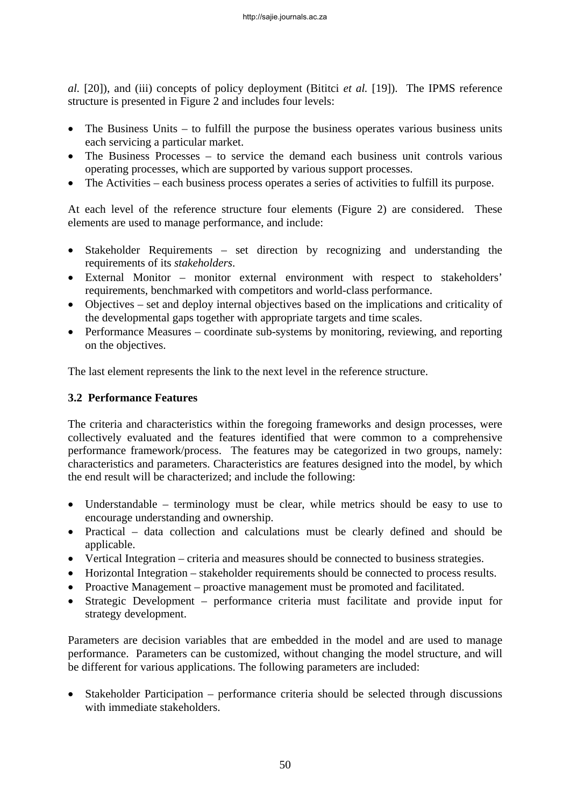*al.* [20]), and (iii) concepts of policy deployment (Bititci *et al.* [19]). The IPMS reference structure is presented in Figure 2 and includes four levels:

- The Business Units to fulfill the purpose the business operates various business units each servicing a particular market.
- The Business Processes to service the demand each business unit controls various operating processes, which are supported by various support processes.
- The Activities each business process operates a series of activities to fulfill its purpose.

At each level of the reference structure four elements (Figure 2) are considered. These elements are used to manage performance, and include:

- Stakeholder Requirements set direction by recognizing and understanding the requirements of its *stakeholders*.
- External Monitor monitor external environment with respect to stakeholders' requirements, benchmarked with competitors and world-class performance.
- Objectives set and deploy internal objectives based on the implications and criticality of the developmental gaps together with appropriate targets and time scales.
- Performance Measures coordinate sub-systems by monitoring, reviewing, and reporting on the objectives.

The last element represents the link to the next level in the reference structure.

## **3.2 Performance Features**

The criteria and characteristics within the foregoing frameworks and design processes, were collectively evaluated and the features identified that were common to a comprehensive performance framework/process. The features may be categorized in two groups, namely: characteristics and parameters. Characteristics are features designed into the model, by which the end result will be characterized; and include the following:

- Understandable terminology must be clear, while metrics should be easy to use to encourage understanding and ownership.
- Practical data collection and calculations must be clearly defined and should be applicable.
- Vertical Integration criteria and measures should be connected to business strategies.
- Horizontal Integration stakeholder requirements should be connected to process results.
- Proactive Management proactive management must be promoted and facilitated.
- Strategic Development performance criteria must facilitate and provide input for strategy development.

Parameters are decision variables that are embedded in the model and are used to manage performance. Parameters can be customized, without changing the model structure, and will be different for various applications. The following parameters are included:

• Stakeholder Participation – performance criteria should be selected through discussions with immediate stakeholders.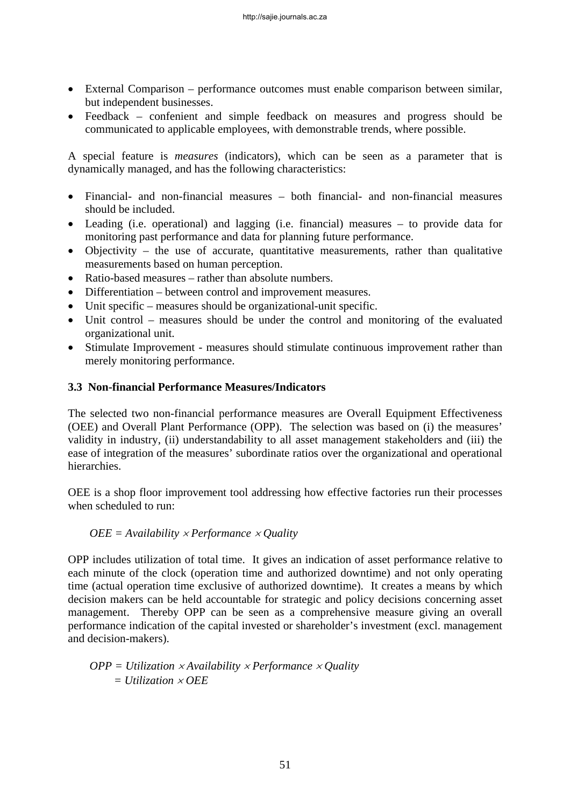- External Comparison performance outcomes must enable comparison between similar, but independent businesses.
- Feedback confenient and simple feedback on measures and progress should be communicated to applicable employees, with demonstrable trends, where possible.

A special feature is *measures* (indicators), which can be seen as a parameter that is dynamically managed, and has the following characteristics:

- Financial- and non-financial measures both financial- and non-financial measures should be included.
- Leading (i.e. operational) and lagging (i.e. financial) measures to provide data for monitoring past performance and data for planning future performance.
- Objectivity the use of accurate, quantitative measurements, rather than qualitative measurements based on human perception.
- Ratio-based measures rather than absolute numbers.
- Differentiation between control and improvement measures.
- Unit specific measures should be organizational-unit specific.
- Unit control measures should be under the control and monitoring of the evaluated organizational unit.
- Stimulate Improvement measures should stimulate continuous improvement rather than merely monitoring performance.

### **3.3 Non-financial Performance Measures/Indicators**

The selected two non-financial performance measures are Overall Equipment Effectiveness (OEE) and Overall Plant Performance (OPP). The selection was based on (i) the measures' validity in industry, (ii) understandability to all asset management stakeholders and (iii) the ease of integration of the measures' subordinate ratios over the organizational and operational hierarchies.

OEE is a shop floor improvement tool addressing how effective factories run their processes when scheduled to run:

### *OEE = Availability* × *Performance* × *Quality*

OPP includes utilization of total time. It gives an indication of asset performance relative to each minute of the clock (operation time and authorized downtime) and not only operating time (actual operation time exclusive of authorized downtime). It creates a means by which decision makers can be held accountable for strategic and policy decisions concerning asset management. Thereby OPP can be seen as a comprehensive measure giving an overall performance indication of the capital invested or shareholder's investment (excl. management and decision-makers).

$$
OPP = Utilization \times Availableility \times Performance \times Quality
$$
  
= Utilization \times OEE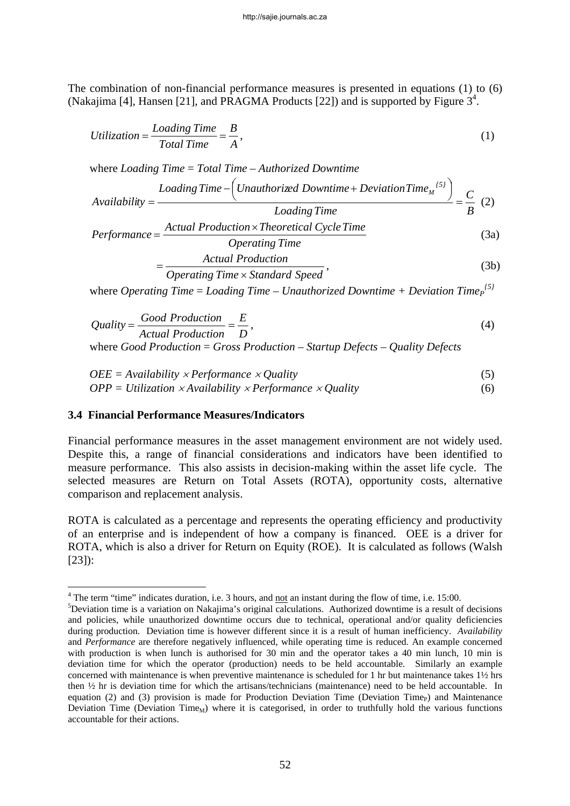The combination of non-financial performance measures is presented in equations (1) to (6) (Nakajima [4], Hansen [21], and PRAGMA Products [22]) and is supported by Figure  $3<sup>4</sup>$ .

$$
Utilization = \frac{Loading Time}{Total Time} = \frac{B}{A},
$$
\n(1)

where *Loading Time* = *Total Time – Authorized Downtime*

$$
A\text{validability} = \frac{Loading Time - \left(Unauthorized Downtime + DeviationTime_{M}^{(5)}\right)}{Loading Time} = \frac{C}{B} \tag{2}
$$
\n
$$
Performance = \frac{Actual Production \times Theoretical Cycle Time}{(3a)}
$$

*Time Operating Production Actual*

$$
=\frac{7.12444 \text{ } \text{F} \cdot \text{O} \cdot \text{O} \cdot \text{O}}{Operating Time \times Standard Speed},\tag{3b}
$$

where *Operating Time* = Loading Time – Unauthorized Downtime + Deviation Time<sub>P</sub><sup>{5}</sup>

$$
Quality = \frac{Good\ Production}{Actual\ Production} = \frac{E}{D},
$$
\n(4)

where *Good Production* = *Gross Production – Startup Defects – Quality Defects*

$$
OEE = Availableility \times Performance \times Quality
$$
\n
$$
OPP = Utilization \times Availableility \times Performance \times Quality
$$
\n
$$
(6)
$$

### **3.4 Financial Performance Measures/Indicators**

Financial performance measures in the asset management environment are not widely used. Despite this, a range of financial considerations and indicators have been identified to measure performance. This also assists in decision-making within the asset life cycle. The selected measures are Return on Total Assets (ROTA), opportunity costs, alternative comparison and replacement analysis.

ROTA is calculated as a percentage and represents the operating efficiency and productivity of an enterprise and is independent of how a company is financed. OEE is a driver for ROTA, which is also a driver for Return on Equity (ROE). It is calculated as follows (Walsh [23]):

<sup>&</sup>lt;sup>4</sup> The term "time" indicates duration, i.e. 3 hours, and <u>not</u> an instant during the flow of time, i.e. 15:00.<br><sup>5</sup> Deviation time is a veristion on Neksiling's crisinal selections. Authorized downtime is a result of

 $5$ Deviation time is a variation on Nakajima's original calculations. Authorized downtime is a result of decisions and policies, while unauthorized downtime occurs due to technical, operational and/or quality deficiencies during production. Deviation time is however different since it is a result of human inefficiency. *Availability* and *Performance* are therefore negatively influenced, while operating time is reduced. An example concerned with production is when lunch is authorised for 30 min and the operator takes a 40 min lunch, 10 min is deviation time for which the operator (production) needs to be held accountable. Similarly an example concerned with maintenance is when preventive maintenance is scheduled for 1 hr but maintenance takes 1½ hrs then ½ hr is deviation time for which the artisans/technicians (maintenance) need to be held accountable. In equation (2) and (3) provision is made for Production Deviation Time (Deviation Time $_{\rm P}$ ) and Maintenance Deviation Time (Deviation Time<sub>M</sub>) where it is categorised, in order to truthfully hold the various functions accountable for their actions.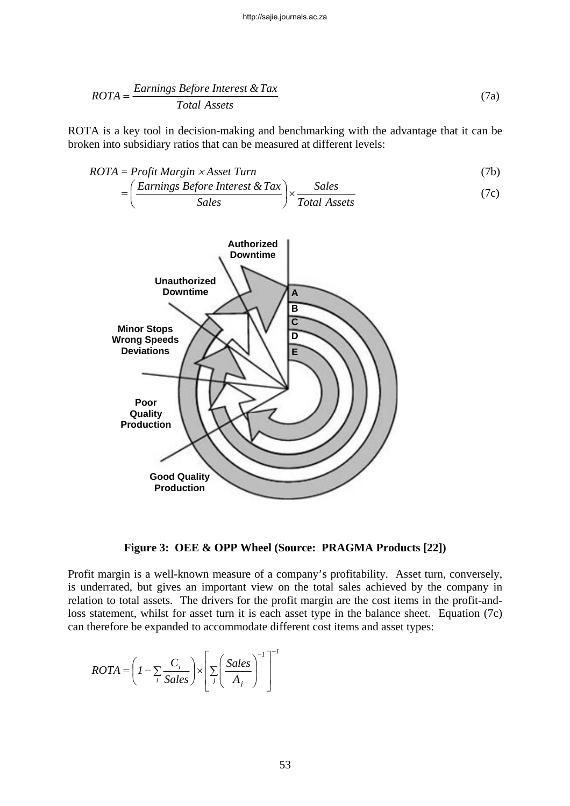$$
ROTA = \frac{EarningS \tBefore \tInterest \& Tax}{Total \tAssets} \t(7a)
$$

ROTA is a key tool in decision-making and benchmarking with the advantage that it can be broken into subsidiary ratios that can be measured at different levels:

$$
ROTA = Profit Margin \times Asset Turn \tag{7b}
$$

$$
= \left(\frac{Earnings Before Interest & Tax}{Sales}\right) \times \frac{Sales}{Total Assets} \tag{7c}
$$



**Figure 3: OEE & OPP Wheel (Source: PRAGMA Products [22])** 

Profit margin is a well-known measure of a company's profitability. Asset turn, conversely, is underrated, but gives an important view on the total sales achieved by the company in relation to total assets. The drivers for the profit margin are the cost items in the profit-andloss statement, whilst for asset turn it is each asset type in the balance sheet. Equation (7c) can therefore be expanded to accommodate different cost items and asset types:

$$
ROTA = \left(1 - \sum_{i} \frac{C_i}{Sales}\right) \times \left[\sum_{j} \left(\frac{Sales}{A_j}\right)^{-1}\right]^{-1}
$$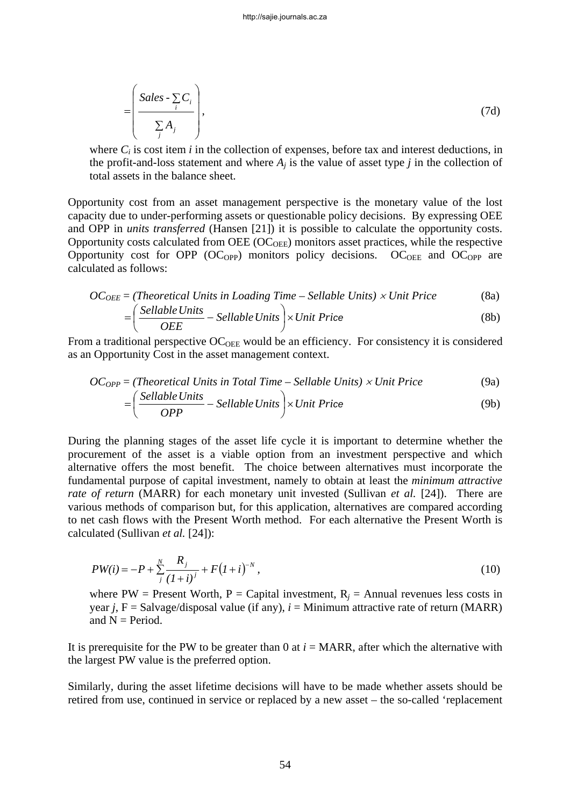$$
= \left( \frac{Sales \cdot \sum_{i} C_{i}}{\sum_{j} A_{j}} \right), \tag{7d}
$$

where  $C_i$  is cost item *i* in the collection of expenses, before tax and interest deductions, in the profit-and-loss statement and where  $A_i$  is the value of asset type *j* in the collection of total assets in the balance sheet.

Opportunity cost from an asset management perspective is the monetary value of the lost capacity due to under-performing assets or questionable policy decisions. By expressing OEE and OPP in *units transferred* (Hansen [21]) it is possible to calculate the opportunity costs. Opportunity costs calculated from OEE  $(OC<sub>OEE</sub>)$  monitors asset practices, while the respective Opportunity cost for OPP (OC<sub>OPP</sub>) monitors policy decisions. OC<sub>OEE</sub> and OC<sub>OPP</sub> are calculated as follows:

$$
OC_{OEE} = (Theoretical Units in Loading Time - Sellable Units) \times Unit Price
$$
 (8a)

$$
= \left(\frac{Sellable Units}{OEE} - Sellable Units\right) \times Unit Price \tag{8b}
$$

From a traditional perspective  $OC<sub>OEE</sub>$  would be an efficiency. For consistency it is considered as an Opportunity Cost in the asset management context.

$$
OC_{OPP}
$$
 = (Theoretical Units in Total Time – Sellable Units) × Unit Price (9a)

$$
= \left(\frac{Sellable Units}{OPP} - Sellable Units\right) \times Unit Price \tag{9b}
$$

During the planning stages of the asset life cycle it is important to determine whether the procurement of the asset is a viable option from an investment perspective and which alternative offers the most benefit. The choice between alternatives must incorporate the fundamental purpose of capital investment, namely to obtain at least the *minimum attractive rate of return* (MARR) for each monetary unit invested (Sullivan *et al.* [24]). There are various methods of comparison but, for this application, alternatives are compared according to net cash flows with the Present Worth method. For each alternative the Present Worth is calculated (Sullivan *et al.* [24]):

$$
PW(i) = -P + \sum_{j}^{N} \frac{R_j}{(1+i)^j} + F(1+i)^{-N},
$$
\n(10)

where PW = Present Worth, P = Capital investment,  $R_i$  = Annual revenues less costs in year *j*,  $F =$  Salvage/disposal value (if any),  $i =$  Minimum attractive rate of return (MARR) and  $N = Period.$ 

It is prerequisite for the PW to be greater than 0 at  $i = \text{MARR}$ , after which the alternative with the largest PW value is the preferred option.

Similarly, during the asset lifetime decisions will have to be made whether assets should be retired from use, continued in service or replaced by a new asset – the so-called 'replacement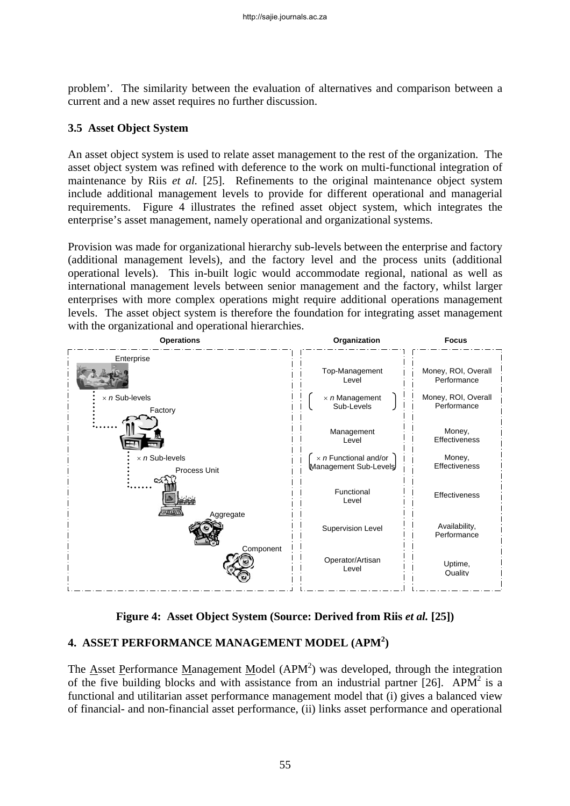problem'. The similarity between the evaluation of alternatives and comparison between a current and a new asset requires no further discussion.

### **3.5 Asset Object System**

An asset object system is used to relate asset management to the rest of the organization. The asset object system was refined with deference to the work on multi-functional integration of maintenance by Riis *et al.* [25]. Refinements to the original maintenance object system include additional management levels to provide for different operational and managerial requirements. Figure 4 illustrates the refined asset object system, which integrates the enterprise's asset management, namely operational and organizational systems.

Provision was made for organizational hierarchy sub-levels between the enterprise and factory (additional management levels), and the factory level and the process units (additional operational levels). This in-built logic would accommodate regional, national as well as international management levels between senior management and the factory, whilst larger enterprises with more complex operations might require additional operations management levels. The asset object system is therefore the foundation for integrating asset management with the organizational and operational hierarchies.



**Figure 4: Asset Object System (Source: Derived from Riis** *et al.* **[25])** 

# **4. ASSET PERFORMANCE MANAGEMENT MODEL (APM<sup>2</sup> )**

The  $\triangle$ sset Performance Management Model (APM<sup>2</sup>) was developed, through the integration of the five building blocks and with assistance from an industrial partner [26]. APM<sup>2</sup> is a functional and utilitarian asset performance management model that (i) gives a balanced view of financial- and non-financial asset performance, (ii) links asset performance and operational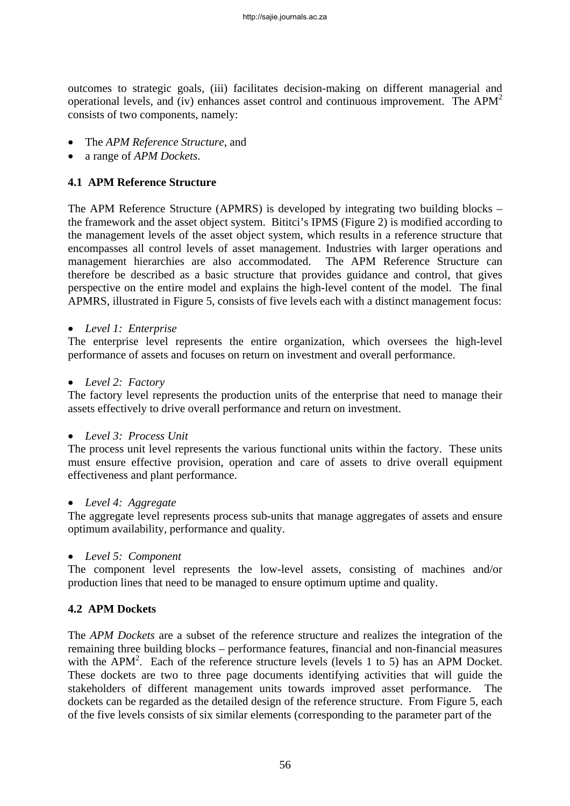outcomes to strategic goals, (iii) facilitates decision-making on different managerial and operational levels, and (iv) enhances asset control and continuous improvement. The  $APM<sup>2</sup>$ consists of two components, namely:

- The *APM Reference Structure*, and
- a range of *APM Dockets*.

### **4.1 APM Reference Structure**

The APM Reference Structure (APMRS) is developed by integrating two building blocks – the framework and the asset object system. Bititci's IPMS (Figure 2) is modified according to the management levels of the asset object system, which results in a reference structure that encompasses all control levels of asset management. Industries with larger operations and management hierarchies are also accommodated. The APM Reference Structure can therefore be described as a basic structure that provides guidance and control, that gives perspective on the entire model and explains the high-level content of the model. The final APMRS, illustrated in Figure 5, consists of five levels each with a distinct management focus:

#### • *Level 1: Enterprise*

The enterprise level represents the entire organization, which oversees the high-level performance of assets and focuses on return on investment and overall performance.

• *Level 2: Factory* 

The factory level represents the production units of the enterprise that need to manage their assets effectively to drive overall performance and return on investment.

#### • *Level 3: Process Unit*

The process unit level represents the various functional units within the factory. These units must ensure effective provision, operation and care of assets to drive overall equipment effectiveness and plant performance.

#### • *Level 4: Aggregate*

The aggregate level represents process sub-units that manage aggregates of assets and ensure optimum availability, performance and quality.

#### • *Level 5: Component*

The component level represents the low-level assets, consisting of machines and/or production lines that need to be managed to ensure optimum uptime and quality.

#### **4.2 APM Dockets**

The *APM Dockets* are a subset of the reference structure and realizes the integration of the remaining three building blocks – performance features, financial and non-financial measures with the  $APM<sup>2</sup>$ . Each of the reference structure levels (levels 1 to 5) has an APM Docket. These dockets are two to three page documents identifying activities that will guide the stakeholders of different management units towards improved asset performance. The dockets can be regarded as the detailed design of the reference structure. From Figure 5, each of the five levels consists of six similar elements (corresponding to the parameter part of the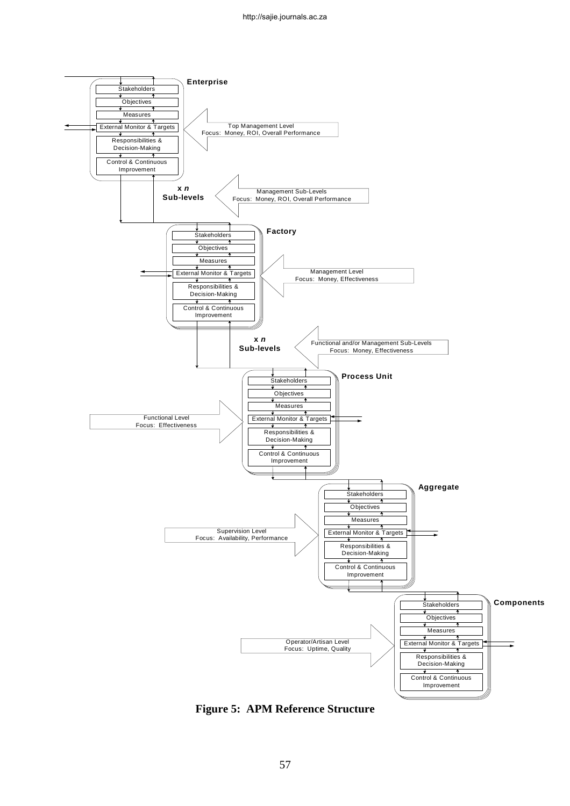

**Figure 5: APM Reference Structure**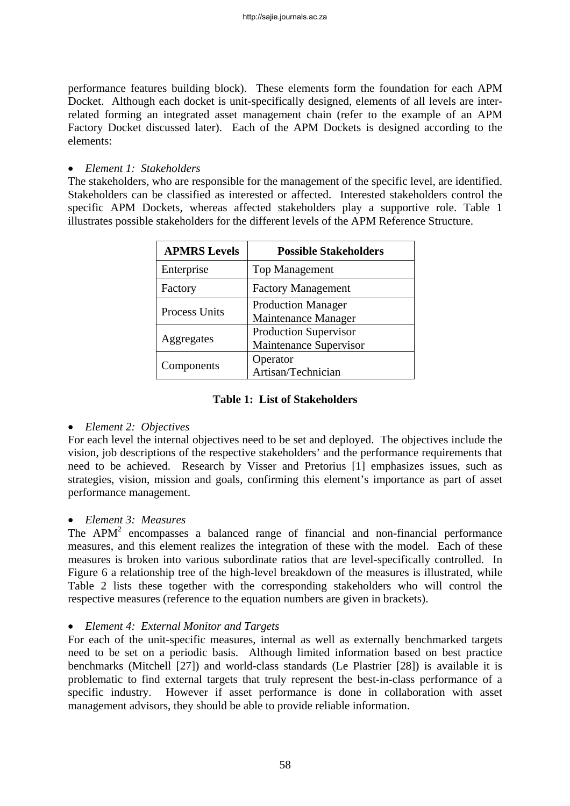performance features building block). These elements form the foundation for each APM Docket. Although each docket is unit-specifically designed, elements of all levels are interrelated forming an integrated asset management chain (refer to the example of an APM Factory Docket discussed later). Each of the APM Dockets is designed according to the elements:

### • *Element 1: Stakeholders*

The stakeholders, who are responsible for the management of the specific level, are identified. Stakeholders can be classified as interested or affected. Interested stakeholders control the specific APM Dockets, whereas affected stakeholders play a supportive role. Table 1 illustrates possible stakeholders for the different levels of the APM Reference Structure.

| <b>APMRS Levels</b>  | <b>Possible Stakeholders</b>                           |
|----------------------|--------------------------------------------------------|
| Enterprise           | <b>Top Management</b>                                  |
| Factory              | <b>Factory Management</b>                              |
| <b>Process Units</b> | <b>Production Manager</b><br>Maintenance Manager       |
| Aggregates           | <b>Production Supervisor</b><br>Maintenance Supervisor |
| Components           | Operator<br>Artisan/Technician                         |

### **Table 1: List of Stakeholders**

#### • *Element 2: Objectives*

For each level the internal objectives need to be set and deployed. The objectives include the vision, job descriptions of the respective stakeholders' and the performance requirements that need to be achieved. Research by Visser and Pretorius [1] emphasizes issues, such as strategies, vision, mission and goals, confirming this element's importance as part of asset performance management.

### • *Element 3: Measures*

The  $APM<sup>2</sup>$  encompasses a balanced range of financial and non-financial performance measures, and this element realizes the integration of these with the model. Each of these measures is broken into various subordinate ratios that are level-specifically controlled. In Figure 6 a relationship tree of the high-level breakdown of the measures is illustrated, while Table 2 lists these together with the corresponding stakeholders who will control the respective measures (reference to the equation numbers are given in brackets).

#### • *Element 4: External Monitor and Targets*

For each of the unit-specific measures, internal as well as externally benchmarked targets need to be set on a periodic basis. Although limited information based on best practice benchmarks (Mitchell [27]) and world-class standards (Le Plastrier [28]) is available it is problematic to find external targets that truly represent the best-in-class performance of a specific industry. However if asset performance is done in collaboration with asset management advisors, they should be able to provide reliable information.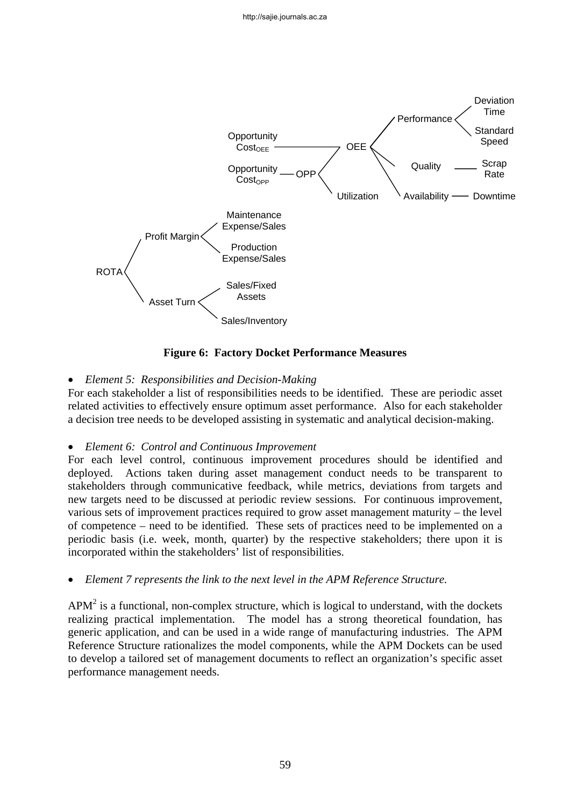

**Figure 6: Factory Docket Performance Measures** 

### • *Element 5: Responsibilities and Decision-Making*

For each stakeholder a list of responsibilities needs to be identified. These are periodic asset related activities to effectively ensure optimum asset performance. Also for each stakeholder a decision tree needs to be developed assisting in systematic and analytical decision-making.

#### • *Element 6: Control and Continuous Improvement*

For each level control, continuous improvement procedures should be identified and deployed. Actions taken during asset management conduct needs to be transparent to stakeholders through communicative feedback, while metrics, deviations from targets and new targets need to be discussed at periodic review sessions. For continuous improvement, various sets of improvement practices required to grow asset management maturity – the level of competence – need to be identified. These sets of practices need to be implemented on a periodic basis (i.e. week, month, quarter) by the respective stakeholders; there upon it is incorporated within the stakeholders' list of responsibilities.

• *Element 7 represents the link to the next level in the APM Reference Structure.* 

 $APM<sup>2</sup>$  is a functional, non-complex structure, which is logical to understand, with the dockets realizing practical implementation. The model has a strong theoretical foundation, has generic application, and can be used in a wide range of manufacturing industries. The APM Reference Structure rationalizes the model components, while the APM Dockets can be used to develop a tailored set of management documents to reflect an organization's specific asset performance management needs.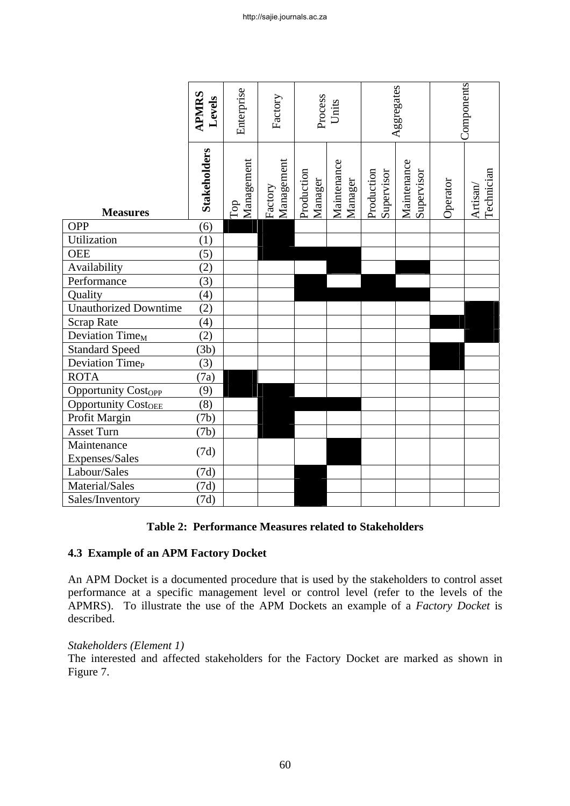|                               | <b>APMRS</b><br>Levels | Enterprise        | Factory               | Process               | Units                  |                          | Aggregates                |          | Components             |
|-------------------------------|------------------------|-------------------|-----------------------|-----------------------|------------------------|--------------------------|---------------------------|----------|------------------------|
| <b>Measures</b>               | Stakeholders           | Management<br>Top | Management<br>Factory | Production<br>Manager | Maintenance<br>Manager | Production<br>Supervisor | Maintenance<br>Supervisor | Operator | Technician<br>Artisan/ |
| <b>OPP</b>                    | $\overline{(6)}$       |                   |                       |                       |                        |                          |                           |          |                        |
| Utilization                   | (1)                    |                   |                       |                       |                        |                          |                           |          |                        |
| <b>OEE</b>                    | (5)                    |                   |                       |                       |                        |                          |                           |          |                        |
| Availability                  | (2)                    |                   |                       |                       |                        |                          |                           |          |                        |
| Performance                   | (3)                    |                   |                       |                       |                        |                          |                           |          |                        |
| Quality                       | (4)                    |                   |                       |                       |                        |                          |                           |          |                        |
| <b>Unauthorized Downtime</b>  | (2)                    |                   |                       |                       |                        |                          |                           |          |                        |
| <b>Scrap Rate</b>             | (4)                    |                   |                       |                       |                        |                          |                           |          |                        |
| Deviation Time <sub>M</sub>   | (2)                    |                   |                       |                       |                        |                          |                           |          |                        |
| <b>Standard Speed</b>         | (3b)                   |                   |                       |                       |                        |                          |                           |          |                        |
| Deviation Time <sub>P</sub>   | (3)                    |                   |                       |                       |                        |                          |                           |          |                        |
| <b>ROTA</b>                   | (7a)                   |                   |                       |                       |                        |                          |                           |          |                        |
| <b>Opportunity Costopp</b>    | (9)                    |                   |                       |                       |                        |                          |                           |          |                        |
| <b>Opportunity CostOEE</b>    | (8)                    |                   |                       |                       |                        |                          |                           |          |                        |
| Profit Margin                 | (7b)                   |                   |                       |                       |                        |                          |                           |          |                        |
| Asset Turn                    | (7b)                   |                   |                       |                       |                        |                          |                           |          |                        |
| Maintenance<br>Expenses/Sales | (7d)                   |                   |                       |                       |                        |                          |                           |          |                        |
| Labour/Sales                  | (7d)                   |                   |                       |                       |                        |                          |                           |          |                        |
| Material/Sales                | (7d)                   |                   |                       |                       |                        |                          |                           |          |                        |
| Sales/Inventory               | (7d)                   |                   |                       |                       |                        |                          |                           |          |                        |

#### **Table 2: Performance Measures related to Stakeholders**

#### **4.3 Example of an APM Factory Docket**

An APM Docket is a documented procedure that is used by the stakeholders to control asset performance at a specific management level or control level (refer to the levels of the APMRS). To illustrate the use of the APM Dockets an example of a *Factory Docket* is described.

#### *Stakeholders (Element 1)*

The interested and affected stakeholders for the Factory Docket are marked as shown in Figure 7.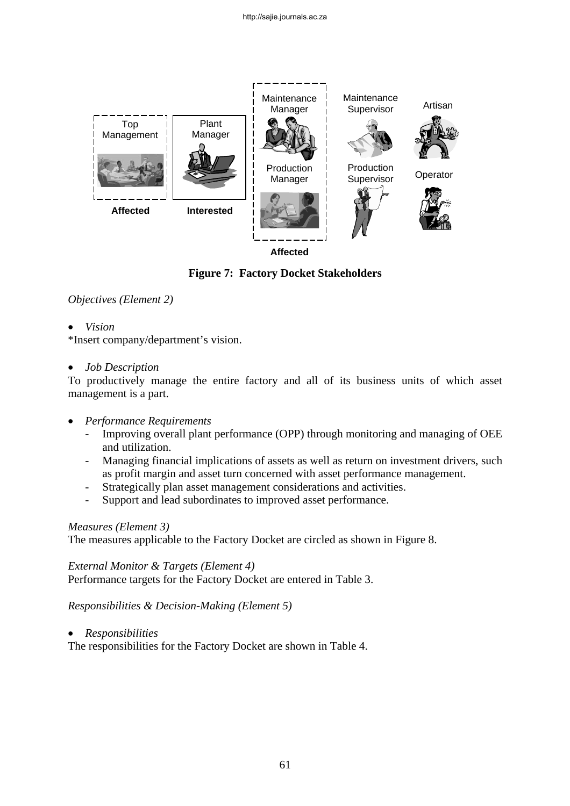

**Affected** 

# **Figure 7: Factory Docket Stakeholders**

### *Objectives (Element 2)*

• *Vision* 

\*Insert company/department's vision.

#### • *Job Description*

To productively manage the entire factory and all of its business units of which asset management is a part.

- *Performance Requirements* 
	- Improving overall plant performance (OPP) through monitoring and managing of OEE and utilization.
	- Managing financial implications of assets as well as return on investment drivers, such as profit margin and asset turn concerned with asset performance management.
	- Strategically plan asset management considerations and activities.
	- Support and lead subordinates to improved asset performance.

### *Measures (Element 3)*

The measures applicable to the Factory Docket are circled as shown in Figure 8.

#### *External Monitor & Targets (Element 4)*

Performance targets for the Factory Docket are entered in Table 3.

*Responsibilities & Decision-Making (Element 5)* 

• *Responsibilities* 

The responsibilities for the Factory Docket are shown in Table 4.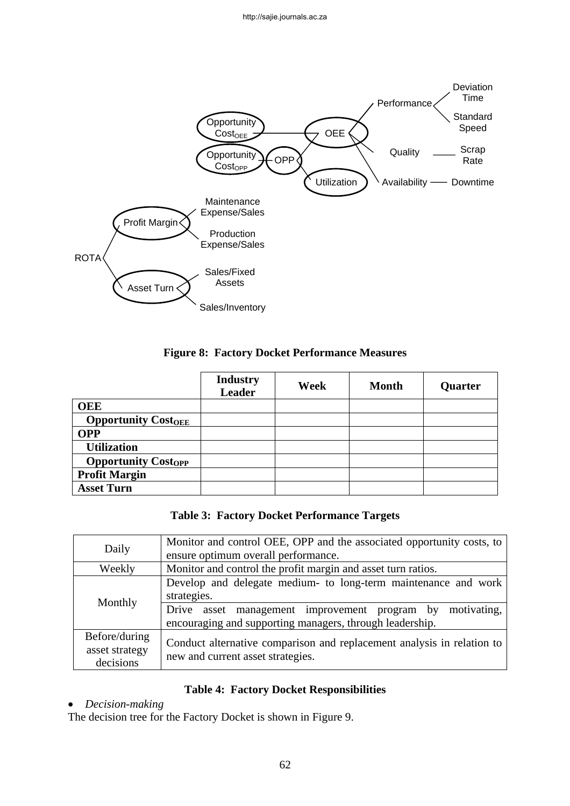

### **Figure 8: Factory Docket Performance Measures**

|                            | <b>Industry</b><br><b>Leader</b> | Week | <b>Month</b> | Quarter |
|----------------------------|----------------------------------|------|--------------|---------|
| <b>OEE</b>                 |                                  |      |              |         |
| <b>Opportunity CostOEE</b> |                                  |      |              |         |
| <b>OPP</b>                 |                                  |      |              |         |
| <b>Utilization</b>         |                                  |      |              |         |
| <b>Opportunity Costopp</b> |                                  |      |              |         |
| <b>Profit Margin</b>       |                                  |      |              |         |
| <b>Asset Turn</b>          |                                  |      |              |         |

|  | <b>Table 3: Factory Docket Performance Targets</b> |  |
|--|----------------------------------------------------|--|
|  |                                                    |  |

| Daily                                        | Monitor and control OEE, OPP and the associated opportunity costs, to<br>ensure optimum overall performance.                                  |
|----------------------------------------------|-----------------------------------------------------------------------------------------------------------------------------------------------|
|                                              |                                                                                                                                               |
| Weekly                                       | Monitor and control the profit margin and asset turn ratios.                                                                                  |
| Monthly                                      | Develop and delegate medium- to long-term maintenance and work<br>strategies.<br>motivating,<br>Drive asset management improvement program by |
|                                              | encouraging and supporting managers, through leadership.                                                                                      |
| Before/during<br>asset strategy<br>decisions | Conduct alternative comparison and replacement analysis in relation to<br>new and current asset strategies.                                   |

### **Table 4: Factory Docket Responsibilities**

### • *Decision-making*

The decision tree for the Factory Docket is shown in Figure 9.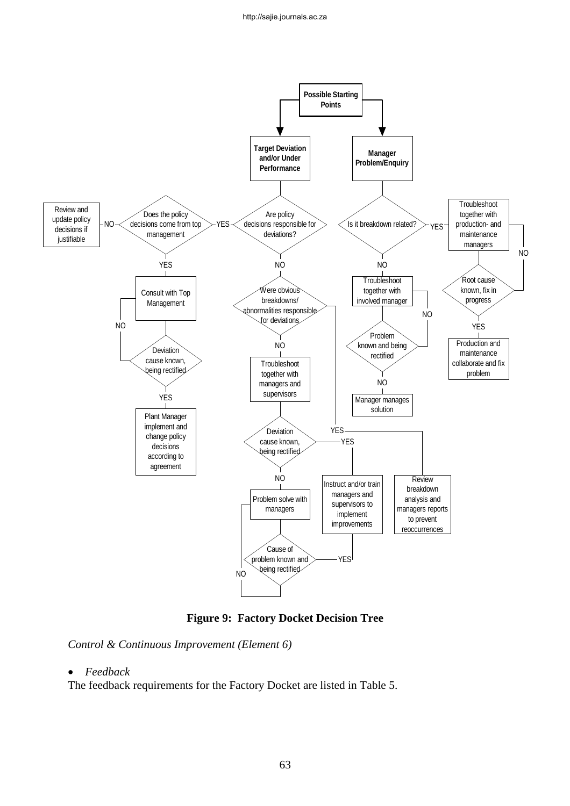

**Figure 9: Factory Docket Decision Tree** 

*Control & Continuous Improvement (Element 6)* 

#### • *Feedback*

The feedback requirements for the Factory Docket are listed in Table 5.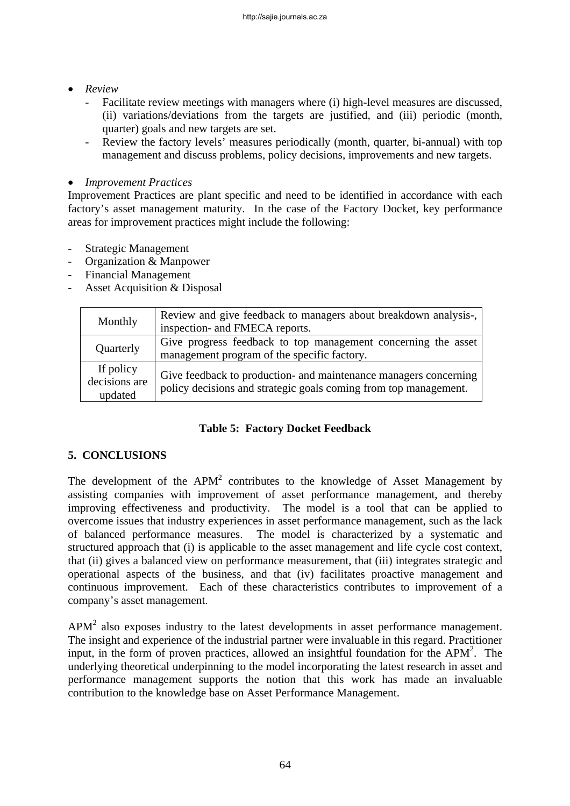- *Review* 
	- Facilitate review meetings with managers where (i) high-level measures are discussed, (ii) variations/deviations from the targets are justified, and (iii) periodic (month, quarter) goals and new targets are set.
	- Review the factory levels' measures periodically (month, quarter, bi-annual) with top management and discuss problems, policy decisions, improvements and new targets.

### • *Improvement Practices*

Improvement Practices are plant specific and need to be identified in accordance with each factory's asset management maturity. In the case of the Factory Docket, key performance areas for improvement practices might include the following:

- Strategic Management
- Organization & Manpower
- Financial Management
- Asset Acquisition & Disposal

| Monthly       | Review and give feedback to managers about breakdown analysis-,  |
|---------------|------------------------------------------------------------------|
|               | inspection- and FMECA reports.                                   |
| Quarterly     | Give progress feedback to top management concerning the asset    |
|               | management program of the specific factory.                      |
| If policy     | Give feedback to production- and maintenance managers concerning |
| decisions are | policy decisions and strategic goals coming from top management. |
| updated       |                                                                  |

### **Table 5: Factory Docket Feedback**

### **5. CONCLUSIONS**

The development of the  $APM<sup>2</sup>$  contributes to the knowledge of Asset Management by assisting companies with improvement of asset performance management, and thereby improving effectiveness and productivity. The model is a tool that can be applied to overcome issues that industry experiences in asset performance management, such as the lack of balanced performance measures. The model is characterized by a systematic and structured approach that (i) is applicable to the asset management and life cycle cost context, that (ii) gives a balanced view on performance measurement, that (iii) integrates strategic and operational aspects of the business, and that (iv) facilitates proactive management and continuous improvement. Each of these characteristics contributes to improvement of a company's asset management.

 $APM<sup>2</sup>$  also exposes industry to the latest developments in asset performance management. The insight and experience of the industrial partner were invaluable in this regard. Practitioner input, in the form of proven practices, allowed an insightful foundation for the  $APM<sup>2</sup>$ . The underlying theoretical underpinning to the model incorporating the latest research in asset and performance management supports the notion that this work has made an invaluable contribution to the knowledge base on Asset Performance Management.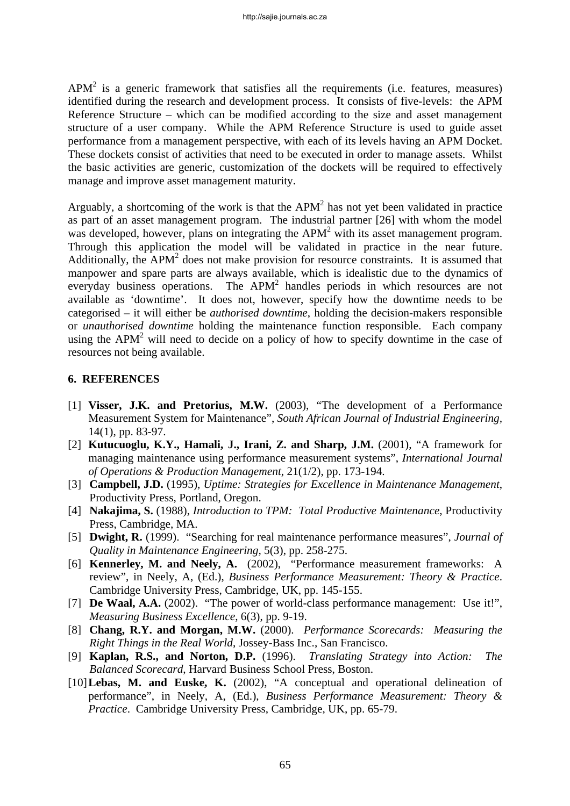$APM<sup>2</sup>$  is a generic framework that satisfies all the requirements (i.e. features, measures) identified during the research and development process. It consists of five-levels: the APM Reference Structure – which can be modified according to the size and asset management structure of a user company. While the APM Reference Structure is used to guide asset performance from a management perspective, with each of its levels having an APM Docket. These dockets consist of activities that need to be executed in order to manage assets. Whilst the basic activities are generic, customization of the dockets will be required to effectively manage and improve asset management maturity.

Arguably, a shortcoming of the work is that the  $APM<sup>2</sup>$  has not yet been validated in practice as part of an asset management program. The industrial partner [26] with whom the model was developed, however, plans on integrating the  $APM<sup>2</sup>$  with its asset management program. Through this application the model will be validated in practice in the near future. Additionally, the  $APM<sup>2</sup>$  does not make provision for resource constraints. It is assumed that manpower and spare parts are always available, which is idealistic due to the dynamics of everyday business operations. The APM<sup>2</sup> handles periods in which resources are not available as 'downtime'. It does not, however, specify how the downtime needs to be categorised – it will either be *authorised downtime*, holding the decision-makers responsible or *unauthorised downtime* holding the maintenance function responsible. Each company using the APM<sup>2</sup> will need to decide on a policy of how to specify downtime in the case of resources not being available.

### **6. REFERENCES**

- [1] **Visser, J.K. and Pretorius, M.W.** (2003), "The development of a Performance Measurement System for Maintenance", *South African Journal of Industrial Engineering,* 14(1), pp. 83-97.
- [2] **Kutucuoglu, K.Y., Hamali, J., Irani, Z. and Sharp, J.M.** (2001), "A framework for managing maintenance using performance measurement systems", *International Journal of Operations & Production Management*, 21(1/2), pp. 173-194.
- [3] **Campbell, J.D.** (1995), *Uptime: Strategies for Excellence in Maintenance Management*, Productivity Press, Portland, Oregon.
- [4] **Nakajima, S.** (1988), *Introduction to TPM: Total Productive Maintenance*, Productivity Press, Cambridge, MA.
- [5] **Dwight, R.** (1999). "Searching for real maintenance performance measures", *Journal of Quality in Maintenance Engineering,* 5(3), pp. 258-275.
- [6] **Kennerley, M. and Neely, A.** (2002), "Performance measurement frameworks: A review", in Neely, A, (Ed.), *Business Performance Measurement: Theory & Practice*. Cambridge University Press, Cambridge, UK, pp. 145-155.
- [7] **De Waal, A.A.** (2002). "The power of world-class performance management: Use it!", *Measuring Business Excellence*, 6(3), pp. 9-19.
- [8] **Chang, R.Y. and Morgan, M.W.** (2000). *Performance Scorecards: Measuring the Right Things in the Real World*, Jossey-Bass Inc., San Francisco.
- [9] **Kaplan, R.S., and Norton, D.P.** (1996). *Translating Strategy into Action: The Balanced Scorecard*, Harvard Business School Press, Boston.
- [10] **Lebas, M. and Euske, K.** (2002), "A conceptual and operational delineation of performance", in Neely, A, (Ed.), *Business Performance Measurement: Theory & Practice*. Cambridge University Press, Cambridge, UK, pp. 65-79.